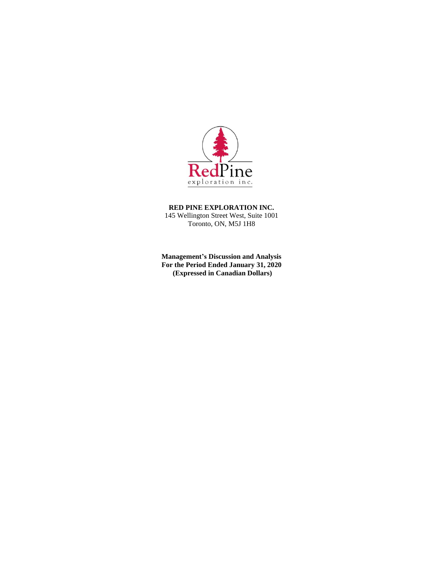

**RED PINE EXPLORATION INC.** 145 Wellington Street West, Suite 1001 Toronto, ON, M5J 1H8

**Management's Discussion and Analysis For the Period Ended January 31, 2020 (Expressed in Canadian Dollars)**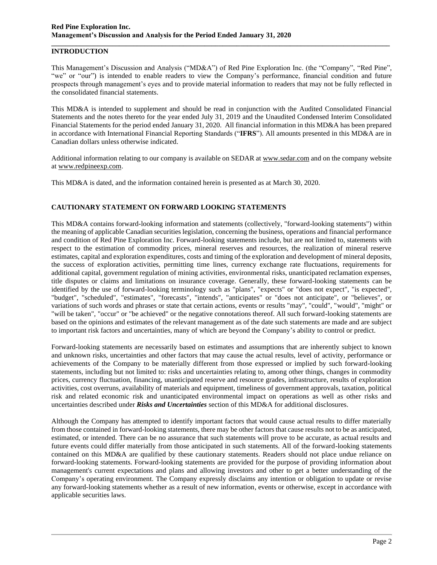# **INTRODUCTION**

This Management's Discussion and Analysis ("MD&A") of Red Pine Exploration Inc. (the "Company", "Red Pine", "we" or "our") is intended to enable readers to view the Company's performance, financial condition and future prospects through management's eyes and to provide material information to readers that may not be fully reflected in the consolidated financial statements.

This MD&A is intended to supplement and should be read in conjunction with the Audited Consolidated Financial Statements and the notes thereto for the year ended July 31, 2019 and the Unaudited Condensed Interim Consolidated Financial Statements for the period ended January 31, 2020. All financial information in this MD&A has been prepared in accordance with International Financial Reporting Standards ("**IFRS**"). All amounts presented in this MD&A are in Canadian dollars unless otherwise indicated.

Additional information relating to our company is available on SEDAR at www.sedar.com and on the company website at www.redpineexp.com.

This MD&A is dated, and the information contained herein is presented as at March 30, 2020.

# **CAUTIONARY STATEMENT ON FORWARD LOOKING STATEMENTS**

This MD&A contains forward-looking information and statements (collectively, "forward-looking statements") within the meaning of applicable Canadian securities legislation, concerning the business, operations and financial performance and condition of Red Pine Exploration Inc. Forward-looking statements include, but are not limited to, statements with respect to the estimation of commodity prices, mineral reserves and resources, the realization of mineral reserve estimates, capital and exploration expenditures, costs and timing of the exploration and development of mineral deposits, the success of exploration activities, permitting time lines, currency exchange rate fluctuations, requirements for additional capital, government regulation of mining activities, environmental risks, unanticipated reclamation expenses, title disputes or claims and limitations on insurance coverage. Generally, these forward-looking statements can be identified by the use of forward-looking terminology such as "plans", "expects" or "does not expect", "is expected", "budget", "scheduled", "estimates", "forecasts", "intends", "anticipates" or "does not anticipate", or "believes", or variations of such words and phrases or state that certain actions, events or results "may", "could", "would", "might" or "will be taken", "occur" or "be achieved" or the negative connotations thereof. All such forward-looking statements are based on the opinions and estimates of the relevant management as of the date such statements are made and are subject to important risk factors and uncertainties, many of which are beyond the Company's ability to control or predict.

Forward-looking statements are necessarily based on estimates and assumptions that are inherently subject to known and unknown risks, uncertainties and other factors that may cause the actual results, level of activity, performance or achievements of the Company to be materially different from those expressed or implied by such forward-looking statements, including but not limited to: risks and uncertainties relating to, among other things, changes in commodity prices, currency fluctuation, financing, unanticipated reserve and resource grades, infrastructure, results of exploration activities, cost overruns, availability of materials and equipment, timeliness of government approvals, taxation, political risk and related economic risk and unanticipated environmental impact on operations as well as other risks and uncertainties described under *Risks and Uncertainties* section of this MD&A for additional disclosures.

Although the Company has attempted to identify important factors that would cause actual results to differ materially from those contained in forward-looking statements, there may be other factors that cause results not to be as anticipated, estimated, or intended. There can be no assurance that such statements will prove to be accurate, as actual results and future events could differ materially from those anticipated in such statements. All of the forward-looking statements contained on this MD&A are qualified by these cautionary statements. Readers should not place undue reliance on forward-looking statements. Forward-looking statements are provided for the purpose of providing information about management's current expectations and plans and allowing investors and other to get a better understanding of the Company's operating environment. The Company expressly disclaims any intention or obligation to update or revise any forward-looking statements whether as a result of new information, events or otherwise, except in accordance with applicable securities laws.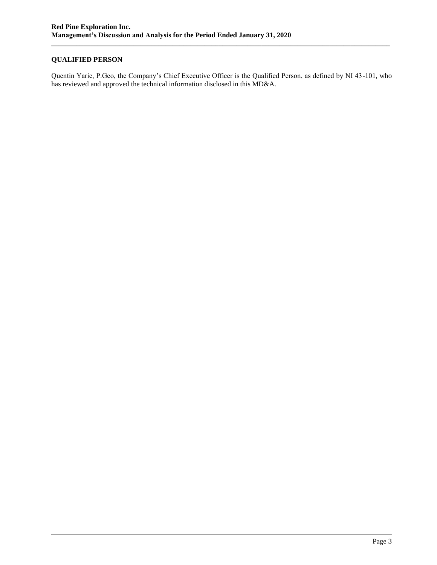# **QUALIFIED PERSON**

Quentin Yarie, P.Geo, the Company's Chief Executive Officer is the Qualified Person, as defined by NI 43-101, who has reviewed and approved the technical information disclosed in this MD&A.

**\_\_\_\_\_\_\_\_\_\_\_\_\_\_\_\_\_\_\_\_\_\_\_\_\_\_\_\_\_\_\_\_\_\_\_\_\_\_\_\_\_\_\_\_\_\_\_\_\_\_\_\_\_\_\_\_\_\_\_\_\_\_\_\_\_\_\_\_\_\_\_\_\_\_\_\_\_\_\_\_\_\_\_\_\_\_\_\_\_\_\_\_\_\_\_**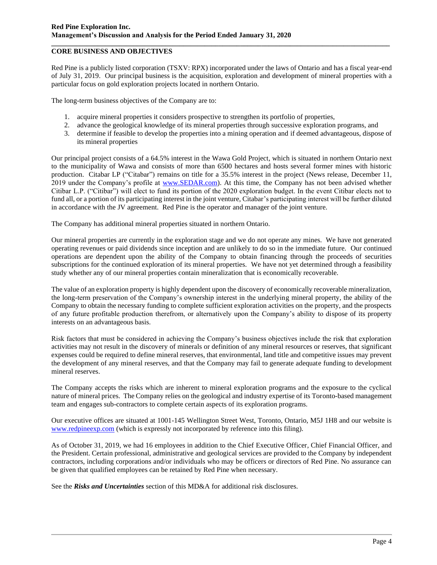# **CORE BUSINESS AND OBJECTIVES**

Red Pine is a publicly listed corporation (TSXV: RPX) incorporated under the laws of Ontario and has a fiscal year-end of July 31, 2019. Our principal business is the acquisition, exploration and development of mineral properties with a particular focus on gold exploration projects located in northern Ontario.

**\_\_\_\_\_\_\_\_\_\_\_\_\_\_\_\_\_\_\_\_\_\_\_\_\_\_\_\_\_\_\_\_\_\_\_\_\_\_\_\_\_\_\_\_\_\_\_\_\_\_\_\_\_\_\_\_\_\_\_\_\_\_\_\_\_\_\_\_\_\_\_\_\_\_\_\_\_\_\_\_\_\_\_\_\_\_\_\_\_\_\_\_\_\_\_**

The long-term business objectives of the Company are to:

- 1. acquire mineral properties it considers prospective to strengthen its portfolio of properties,
- 2. advance the geological knowledge of its mineral properties through successive exploration programs, and
- 3. determine if feasible to develop the properties into a mining operation and if deemed advantageous, dispose of its mineral properties

Our principal project consists of a 64.5% interest in the Wawa Gold Project, which is situated in northern Ontario next to the municipality of Wawa and consists of more than 6500 hectares and hosts several former mines with historic production. Citabar LP ("Citabar") remains on title for a 35.5% interest in the project (News release, December 11, 2019 under the Company's profile at [www.SEDAR.com\)](http://www.sedar.com/). At this time, the Company has not been advised whether Citibar L.P. ("Citibar") will elect to fund its portion of the 2020 exploration budget. In the event Citibar elects not to fund all, or a portion of its participating interest in the joint venture, Citabar's participating interest will be further diluted in accordance with the JV agreement. Red Pine is the operator and manager of the joint venture.

The Company has additional mineral properties situated in northern Ontario.

Our mineral properties are currently in the exploration stage and we do not operate any mines. We have not generated operating revenues or paid dividends since inception and are unlikely to do so in the immediate future. Our continued operations are dependent upon the ability of the Company to obtain financing through the proceeds of securities subscriptions for the continued exploration of its mineral properties. We have not yet determined through a feasibility study whether any of our mineral properties contain mineralization that is economically recoverable.

The value of an exploration property is highly dependent upon the discovery of economically recoverable mineralization, the long-term preservation of the Company's ownership interest in the underlying mineral property, the ability of the Company to obtain the necessary funding to complete sufficient exploration activities on the property, and the prospects of any future profitable production therefrom, or alternatively upon the Company's ability to dispose of its property interests on an advantageous basis.

Risk factors that must be considered in achieving the Company's business objectives include the risk that exploration activities may not result in the discovery of minerals or definition of any mineral resources or reserves, that significant expenses could be required to define mineral reserves, that environmental, land title and competitive issues may prevent the development of any mineral reserves, and that the Company may fail to generate adequate funding to development mineral reserves.

The Company accepts the risks which are inherent to mineral exploration programs and the exposure to the cyclical nature of mineral prices. The Company relies on the geological and industry expertise of its Toronto-based management team and engages sub-contractors to complete certain aspects of its exploration programs.

Our executive offices are situated at 1001-145 Wellington Street West, Toronto, Ontario, M5J 1H8 and our website is [www.redpineexp.com](http://www.redpineexp.com/) (which is expressly not incorporated by reference into this filing).

As of October 31, 2019, we had 16 employees in addition to the Chief Executive Officer, Chief Financial Officer, and the President. Certain professional, administrative and geological services are provided to the Company by independent contractors, including corporations and/or individuals who may be officers or directors of Red Pine. No assurance can be given that qualified employees can be retained by Red Pine when necessary.

See the *Risks and Uncertainties* section of this MD&A for additional risk disclosures.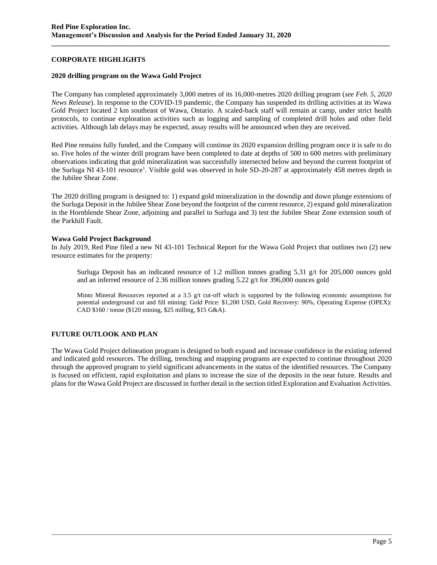# **CORPORATE HIGHLIGHTS**

#### **2020 drilling program on the Wawa Gold Project**

The Company has completed approximately 3,000 metres of its 16,000-metres 2020 drilling program (*see Feb. 5, 2020 News Release*). In response to the COVID-19 pandemic, the Company has suspended its drilling activities at its Wawa Gold Project located 2 km southeast of Wawa, Ontario. A scaled-back staff will remain at camp, under strict health protocols, to continue exploration activities such as logging and sampling of completed drill holes and other field activities. Although lab delays may be expected, assay results will be announced when they are received.

**\_\_\_\_\_\_\_\_\_\_\_\_\_\_\_\_\_\_\_\_\_\_\_\_\_\_\_\_\_\_\_\_\_\_\_\_\_\_\_\_\_\_\_\_\_\_\_\_\_\_\_\_\_\_\_\_\_\_\_\_\_\_\_\_\_\_\_\_\_\_\_\_\_\_\_\_\_\_\_\_\_\_\_\_\_\_\_\_\_\_\_\_\_\_\_**

Red Pine remains fully funded, and the Company will continue its 2020 expansion drilling program once it is safe to do so. Five holes of the winter drill program have been completed to date at depths of 500 to 600 metres with preliminary observations indicating that gold mineralization was successfully intersected below and beyond the current footprint of the Surluga NI 43-101 resource<sup>1</sup>. Visible gold was observed in hole SD-20-287 at approximately 458 metres depth in the Jubilee Shear Zone.

The 2020 drilling program is designed to: 1) expand gold mineralization in the downdip and down plunge extensions of the Surluga Deposit in the Jubilee Shear Zone beyond the footprint of the current resource, 2) expand gold mineralization in the Hornblende Shear Zone, adjoining and parallel to Surluga and 3) test the Jubilee Shear Zone extension south of the Parkhill Fault.

### **Wawa Gold Project Background**

In July 2019, Red Pine filed a new NI 43-101 Technical Report for the Wawa Gold Project that outlines two (2) new resource estimates for the property:

Surluga Deposit has an indicated resource of 1.2 million tonnes grading 5.31 g/t for 205,000 ounces gold and an inferred resource of 2.36 million tonnes grading 5.22 g/t for 396,000 ounces gold

Minto Mineral Resources reported at a 3.5  $g/t$  cut-off which is supported by the following economic assumptions for potential underground cut and fill mining: Gold Price: \$1,200 USD, Gold Recovery: 90%, Operating Expense (OPEX): CAD \$160 / tonne (\$120 mining, \$25 milling, \$15 G&A).

# **FUTURE OUTLOOK AND PLAN**

The Wawa Gold Project delineation program is designed to both expand and increase confidence in the existing inferred and indicated gold resources. The drilling, trenching and mapping programs are expected to continue throughout 2020 through the approved program to yield significant advancements in the status of the identified resources. The Company is focused on efficient, rapid exploitation and plans to increase the size of the deposits in the near future. Results and plans for the Wawa Gold Project are discussed in further detail in the section titled Exploration and Evaluation Activities.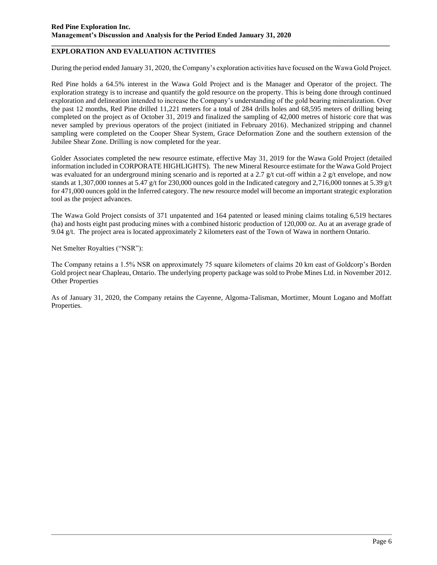# **EXPLORATION AND EVALUATION ACTIVITIES**

During the period ended January 31, 2020, the Company's exploration activities have focused on the Wawa Gold Project.

**\_\_\_\_\_\_\_\_\_\_\_\_\_\_\_\_\_\_\_\_\_\_\_\_\_\_\_\_\_\_\_\_\_\_\_\_\_\_\_\_\_\_\_\_\_\_\_\_\_\_\_\_\_\_\_\_\_\_\_\_\_\_\_\_\_\_\_\_\_\_\_\_\_\_\_\_\_\_\_\_\_\_\_\_\_\_\_\_\_\_\_\_\_\_\_**

Red Pine holds a 64.5% interest in the Wawa Gold Project and is the Manager and Operator of the project. The exploration strategy is to increase and quantify the gold resource on the property. This is being done through continued exploration and delineation intended to increase the Company's understanding of the gold bearing mineralization. Over the past 12 months, Red Pine drilled 11,221 meters for a total of 284 drills holes and 68,595 meters of drilling being completed on the project as of October 31, 2019 and finalized the sampling of 42,000 metres of historic core that was never sampled by previous operators of the project (initiated in February 2016). Mechanized stripping and channel sampling were completed on the Cooper Shear System, Grace Deformation Zone and the southern extension of the Jubilee Shear Zone. Drilling is now completed for the year.

Golder Associates completed the new resource estimate, effective May 31, 2019 for the Wawa Gold Project (detailed information included in CORPORATE HIGHLIGHTS). The new Mineral Resource estimate for the Wawa Gold Project was evaluated for an underground mining scenario and is reported at a 2.7 g/t cut-off within a 2 g/t envelope, and now stands at 1,307,000 tonnes at 5.47 g/t for 230,000 ounces gold in the Indicated category and 2,716,000 tonnes at 5.39 g/t for 471,000 ounces gold in the Inferred category. The new resource model will become an important strategic exploration tool as the project advances.

The Wawa Gold Project consists of 371 unpatented and 164 patented or leased mining claims totaling 6,519 hectares (ha) and hosts eight past producing mines with a combined historic production of 120,000 oz. Au at an average grade of 9.04 g/t. The project area is located approximately 2 kilometers east of the Town of Wawa in northern Ontario.

Net Smelter Royalties ("NSR"):

The Company retains a 1.5% NSR on approximately 75 square kilometers of claims 20 km east of Goldcorp's Borden Gold project near Chapleau, Ontario. The underlying property package was sold to Probe Mines Ltd. in November 2012. Other Properties

As of January 31, 2020, the Company retains the Cayenne, Algoma-Talisman, Mortimer, Mount Logano and Moffatt Properties.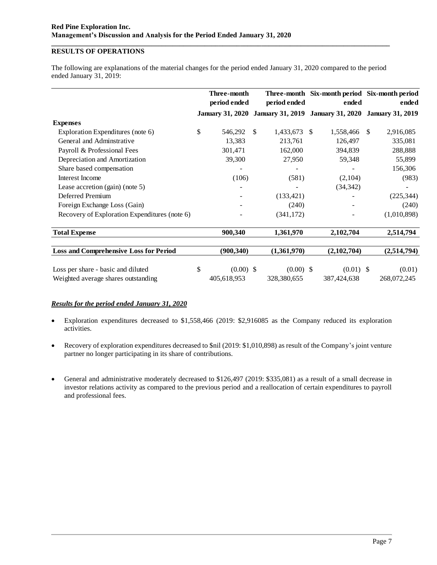# **RESULTS OF OPERATIONS**

The following are explanations of the material changes for the period ended January 31, 2020 compared to the period ended January 31, 2019:

**\_\_\_\_\_\_\_\_\_\_\_\_\_\_\_\_\_\_\_\_\_\_\_\_\_\_\_\_\_\_\_\_\_\_\_\_\_\_\_\_\_\_\_\_\_\_\_\_\_\_\_\_\_\_\_\_\_\_\_\_\_\_\_\_\_\_\_\_\_\_\_\_\_\_\_\_\_\_\_\_\_\_\_\_\_\_\_\_\_\_\_\_\_\_\_**

|                                               | Three-month<br>period ended |     | period ended                                       | Three-month Six-month period Six-month period<br>ended |               | ended       |
|-----------------------------------------------|-----------------------------|-----|----------------------------------------------------|--------------------------------------------------------|---------------|-------------|
|                                               | <b>January 31, 2020</b>     |     | January 31, 2019 January 31, 2020 January 31, 2019 |                                                        |               |             |
| <b>Expenses</b>                               |                             |     |                                                    |                                                        |               |             |
| Exploration Expenditures (note 6)             | \$<br>546,292               | \$. | 1,433,673 \$                                       | 1,558,466                                              | <sup>\$</sup> | 2,916,085   |
| General and Adminstrative                     | 13,383                      |     | 213,761                                            | 126,497                                                |               | 335,081     |
| Payroll & Professional Fees                   | 301,471                     |     | 162,000                                            | 394,839                                                |               | 288,888     |
| Depreciation and Amortization                 | 39,300                      |     | 27,950                                             | 59,348                                                 |               | 55,899      |
| Share based compensation                      | $\overline{a}$              |     |                                                    |                                                        |               | 156,306     |
| Interest Income                               | (106)                       |     | (581)                                              | (2,104)                                                |               | (983)       |
| Lease accretion $(gain)$ (note 5)             |                             |     |                                                    | (34, 342)                                              |               |             |
| Deferred Premium                              |                             |     | (133, 421)                                         |                                                        |               | (225, 344)  |
| Foreign Exchange Loss (Gain)                  | $\overline{\phantom{a}}$    |     | (240)                                              |                                                        |               | (240)       |
| Recovery of Exploration Expenditures (note 6) |                             |     | (341, 172)                                         |                                                        |               | (1,010,898) |
| <b>Total Expense</b>                          | 900,340                     |     | 1,361,970                                          | 2,102,704                                              |               | 2,514,794   |
| <b>Loss and Comprehensive Loss for Period</b> | (900, 340)                  |     | (1,361,970)                                        | (2,102,704)                                            |               | (2,514,794) |
| Loss per share - basic and diluted            | \$<br>$(0.00)$ \$           |     | $(0.00)$ \$                                        | $(0.01)$ \$                                            |               | (0.01)      |
| Weighted average shares outstanding           | 405,618,953                 |     | 328,380,655                                        | 387,424,638                                            |               | 268,072,245 |

# *Results for the period ended January 31, 2020*

- Exploration expenditures decreased to \$1,558,466 (2019: \$2,916085 as the Company reduced its exploration activities.
- Recovery of exploration expenditures decreased to \$nil (2019: \$1,010,898) as result of the Company's joint venture partner no longer participating in its share of contributions.
- General and administrative moderately decreased to \$126,497 (2019: \$335,081) as a result of a small decrease in investor relations activity as compared to the previous period and a reallocation of certain expenditures to payroll and professional fees.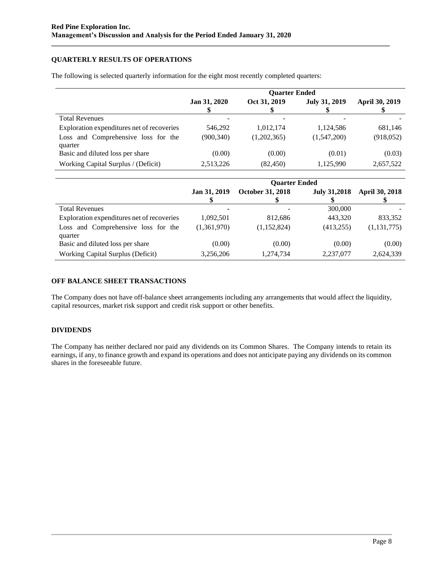# **QUARTERLY RESULTS OF OPERATIONS**

The following is selected quarterly information for the eight most recently completed quarters:

|                                             | <b>Quarter Ended</b> |              |                      |                |
|---------------------------------------------|----------------------|--------------|----------------------|----------------|
|                                             | Jan 31, 2020         | Oct 31, 2019 | <b>July 31, 2019</b> | April 30, 2019 |
| <b>Total Revenues</b>                       |                      |              |                      |                |
| Exploration expenditures net of recoveries  | 546,292              | 1,012,174    | 1,124,586            | 681,146        |
| Loss and Comprehensive loss for the         | (900, 340)           | (1,202,365)  | (1,547,200)          | (918, 052)     |
| quarter<br>Basic and diluted loss per share | (0.00)               | (0.00)       | (0.01)               |                |
|                                             |                      |              |                      | (0.03)         |
| Working Capital Surplus / (Deficit)         | 2,513,226            | (82, 450)    | 1,125,990            | 2,657,522      |

**\_\_\_\_\_\_\_\_\_\_\_\_\_\_\_\_\_\_\_\_\_\_\_\_\_\_\_\_\_\_\_\_\_\_\_\_\_\_\_\_\_\_\_\_\_\_\_\_\_\_\_\_\_\_\_\_\_\_\_\_\_\_\_\_\_\_\_\_\_\_\_\_\_\_\_\_\_\_\_\_\_\_\_\_\_\_\_\_\_\_\_\_\_\_\_**

|                                            |              | <b>Ouarter Ended</b>    |                     |                       |
|--------------------------------------------|--------------|-------------------------|---------------------|-----------------------|
|                                            | Jan 31, 2019 | <b>October 31, 2018</b> | <b>July 31,2018</b> | <b>April 30, 2018</b> |
| <b>Total Revenues</b>                      |              |                         | 300,000             |                       |
| Exploration expenditures net of recoveries | 1,092,501    | 812,686                 | 443,320             | 833,352               |
| Loss and Comprehensive loss for the        | (1,361,970)  | (1,152,824)             | (413, 255)          | (1, 131, 775)         |
| quarter                                    |              |                         |                     |                       |
| Basic and diluted loss per share           | (0.00)       | (0.00)                  | (0.00)              | (0.00)                |
| Working Capital Surplus (Deficit)          | 3,256,206    | 1,274,734               | 2,237,077           | 2,624,339             |

## **OFF BALANCE SHEET TRANSACTIONS**

The Company does not have off-balance sheet arrangements including any arrangements that would affect the liquidity, capital resources, market risk support and credit risk support or other benefits.

# **DIVIDENDS**

The Company has neither declared nor paid any dividends on its Common Shares. The Company intends to retain its earnings, if any, to finance growth and expand its operations and does not anticipate paying any dividends on its common shares in the foreseeable future.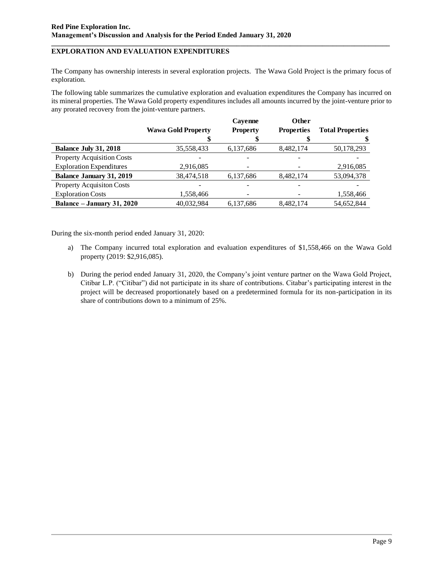# **EXPLORATION AND EVALUATION EXPENDITURES**

The Company has ownership interests in several exploration projects. The Wawa Gold Project is the primary focus of exploration.

**\_\_\_\_\_\_\_\_\_\_\_\_\_\_\_\_\_\_\_\_\_\_\_\_\_\_\_\_\_\_\_\_\_\_\_\_\_\_\_\_\_\_\_\_\_\_\_\_\_\_\_\_\_\_\_\_\_\_\_\_\_\_\_\_\_\_\_\_\_\_\_\_\_\_\_\_\_\_\_\_\_\_\_\_\_\_\_\_\_\_\_\_\_\_\_**

The following table summarizes the cumulative exploration and evaluation expenditures the Company has incurred on its mineral properties. The Wawa Gold property expenditures includes all amounts incurred by the joint-venture prior to any prorated recovery from the joint-venture partners.

|                                   |                           | Cayenne         | Other             |                         |
|-----------------------------------|---------------------------|-----------------|-------------------|-------------------------|
|                                   | <b>Wawa Gold Property</b> | <b>Property</b> | <b>Properties</b> | <b>Total Properties</b> |
|                                   |                           |                 |                   |                         |
| <b>Balance July 31, 2018</b>      | 35,558,433                | 6,137,686       | 8,482,174         | 50,178,293              |
| <b>Property Acquisition Costs</b> |                           |                 |                   |                         |
| <b>Exploration Expenditures</b>   | 2,916,085                 |                 |                   | 2,916,085               |
| <b>Balance January 31, 2019</b>   | 38,474,518                | 6,137,686       | 8,482,174         | 53,094,378              |
| <b>Property Acquisiton Costs</b>  |                           |                 |                   |                         |
| <b>Exploration Costs</b>          | 1,558,466                 |                 |                   | 1,558,466               |
| Balance – January 31, 2020        | 40,032,984                | 6,137,686       | 8,482,174         | 54,652,844              |

During the six-month period ended January 31, 2020:

- a) The Company incurred total exploration and evaluation expenditures of \$1,558,466 on the Wawa Gold property (2019: \$2,916,085).
- b) During the period ended January 31, 2020, the Company's joint venture partner on the Wawa Gold Project, Citibar L.P. ("Citibar") did not participate in its share of contributions. Citabar's participating interest in the project will be decreased proportionately based on a predetermined formula for its non-participation in its share of contributions down to a minimum of 25%.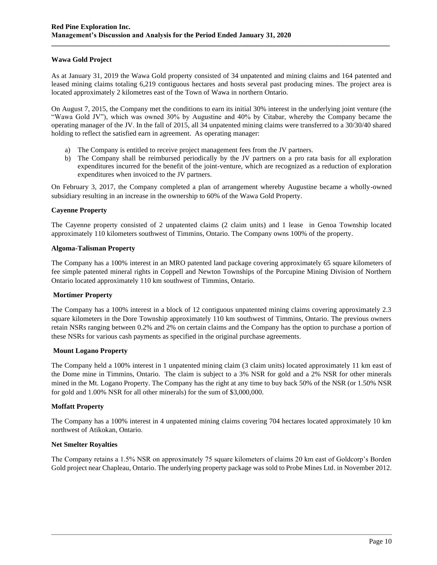# **Wawa Gold Project**

As at January 31, 2019 the Wawa Gold property consisted of 34 unpatented and mining claims and 164 patented and leased mining claims totaling 6,219 contiguous hectares and hosts several past producing mines. The project area is located approximately 2 kilometres east of the Town of Wawa in northern Ontario.

**\_\_\_\_\_\_\_\_\_\_\_\_\_\_\_\_\_\_\_\_\_\_\_\_\_\_\_\_\_\_\_\_\_\_\_\_\_\_\_\_\_\_\_\_\_\_\_\_\_\_\_\_\_\_\_\_\_\_\_\_\_\_\_\_\_\_\_\_\_\_\_\_\_\_\_\_\_\_\_\_\_\_\_\_\_\_\_\_\_\_\_\_\_\_\_**

On August 7, 2015, the Company met the conditions to earn its initial 30% interest in the underlying joint venture (the "Wawa Gold JV"), which was owned 30% by Augustine and 40% by Citabar, whereby the Company became the operating manager of the JV. In the fall of 2015, all 34 unpatented mining claims were transferred to a 30/30/40 shared holding to reflect the satisfied earn in agreement. As operating manager:

- a) The Company is entitled to receive project management fees from the JV partners.
- b) The Company shall be reimbursed periodically by the JV partners on a pro rata basis for all exploration expenditures incurred for the benefit of the joint-venture, which are recognized as a reduction of exploration expenditures when invoiced to the JV partners.

On February 3, 2017, the Company completed a plan of arrangement whereby Augustine became a wholly-owned subsidiary resulting in an increase in the ownership to 60% of the Wawa Gold Property.

### **Cayenne Property**

The Cayenne property consisted of 2 unpatented claims (2 claim units) and 1 lease in Genoa Township located approximately 110 kilometers southwest of Timmins, Ontario. The Company owns 100% of the property.

### **Algoma-Talisman Property**

The Company has a 100% interest in an MRO patented land package covering approximately 65 square kilometers of fee simple patented mineral rights in Coppell and Newton Townships of the Porcupine Mining Division of Northern Ontario located approximately 110 km southwest of Timmins, Ontario.

# **Mortimer Property**

The Company has a 100% interest in a block of 12 contiguous unpatented mining claims covering approximately 2.3 square kilometers in the Dore Township approximately 110 km southwest of Timmins, Ontario. The previous owners retain NSRs ranging between 0.2% and 2% on certain claims and the Company has the option to purchase a portion of these NSRs for various cash payments as specified in the original purchase agreements.

# **Mount Logano Property**

The Company held a 100% interest in 1 unpatented mining claim (3 claim units) located approximately 11 km east of the Dome mine in Timmins, Ontario. The claim is subject to a 3% NSR for gold and a 2% NSR for other minerals mined in the Mt. Logano Property. The Company has the right at any time to buy back 50% of the NSR (or 1.50% NSR for gold and 1.00% NSR for all other minerals) for the sum of \$3,000,000.

# **Moffatt Property**

The Company has a 100% interest in 4 unpatented mining claims covering 704 hectares located approximately 10 km northwest of Atikokan, Ontario.

# **Net Smelter Royalties**

The Company retains a 1.5% NSR on approximately 75 square kilometers of claims 20 km east of Goldcorp's Borden Gold project near Chapleau, Ontario. The underlying property package was sold to Probe Mines Ltd. in November 2012.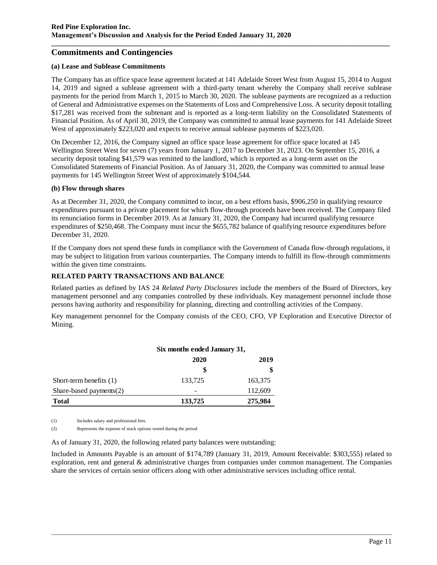# **Commitments and Contingencies**

# **(a) Lease and Sublease Commitments**

The Company has an office space lease agreement located at 141 Adelaide Street West from August 15, 2014 to August 14, 2019 and signed a sublease agreement with a third-party tenant whereby the Company shall receive sublease payments for the period from March 1, 2015 to March 30, 2020. The sublease payments are recognized as a reduction of General and Administrative expenses on the Statements of Loss and Comprehensive Loss. A security deposit totalling \$17,281 was received from the subtenant and is reported as a long-term liability on the Consolidated Statements of Financial Position. As of April 30, 2019, the Company was committed to annual lease payments for 141 Adelaide Street West of approximately \$223,020 and expects to receive annual sublease payments of \$223,020.

**\_\_\_\_\_\_\_\_\_\_\_\_\_\_\_\_\_\_\_\_\_\_\_\_\_\_\_\_\_\_\_\_\_\_\_\_\_\_\_\_\_\_\_\_\_\_\_\_\_\_\_\_\_\_\_\_\_\_\_\_\_\_\_\_\_\_\_\_\_\_\_\_\_\_\_\_\_\_\_\_\_\_\_\_\_\_\_\_\_\_\_\_\_\_\_**

On December 12, 2016, the Company signed an office space lease agreement for office space located at 145 Wellington Street West for seven (7) years from January 1, 2017 to December 31, 2023. On September 15, 2016, a security deposit totaling \$41,579 was remitted to the landlord, which is reported as a long-term asset on the Consolidated Statements of Financial Position. As of January 31, 2020, the Company was committed to annual lease payments for 145 Wellington Street West of approximately \$104,544.

### **(b) Flow through shares**

As at December 31, 2020, the Company committed to incur, on a best efforts basis, \$906,250 in qualifying resource expenditures pursuant to a private placement for which flow-through proceeds have been received. The Company filed its renunciation forms in December 2019. As at January 31, 2020, the Company had incurred qualifying resource expenditures of \$250,468. The Company must incur the \$655,782 balance of qualifying resource expenditures before December 31, 2020.

If the Company does not spend these funds in compliance with the Government of Canada flow-through regulations, it may be subject to litigation from various counterparties. The Company intends to fulfill its flow-through commitments within the given time constraints.

# **RELATED PARTY TRANSACTIONS AND BALANCE**

Related parties as defined by IAS 24 *Related Party Disclosures* include the members of the Board of Directors, key management personnel and any companies controlled by these individuals. Key management personnel include those persons having authority and responsibility for planning, directing and controlling activities of the Company.

Key management personnel for the Company consists of the CEO, CFO, VP Exploration and Executive Director of Mining.

|                            | Six months ended January 31, |         |
|----------------------------|------------------------------|---------|
|                            | 2020                         | 2019    |
|                            |                              | S       |
| Short-term benefits $(1)$  | 133,725                      | 163,375 |
| Share-based payments $(2)$ | -                            | 112,609 |
| <b>Total</b>               | 133,725                      | 275,984 |

(1) Includes salary and professional fees.

(2) Represents the expense of stock options vested during the period

As of January 31, 2020, the following related party balances were outstanding:

Included in Amounts Payable is an amount of \$174,789 (January 31, 2019, Amount Receivable: \$303,555) related to exploration, rent and general & administrative charges from companies under common management. The Companies share the services of certain senior officers along with other administrative services including office rental.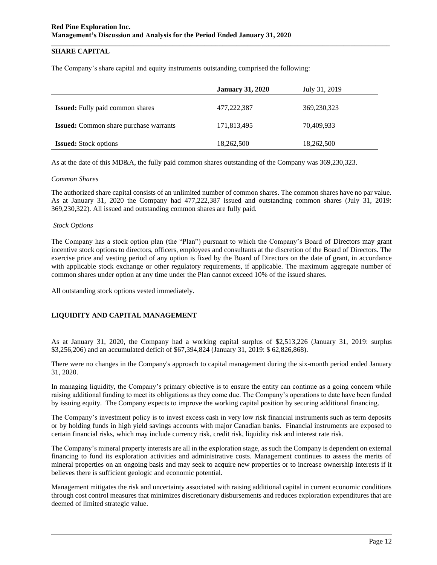# **SHARE CAPITAL**

The Company's share capital and equity instruments outstanding comprised the following:

|                                               | <b>January 31, 2020</b> | July 31, 2019 |
|-----------------------------------------------|-------------------------|---------------|
| <b>Issued:</b> Fully paid common shares       | 477,222,387             | 369, 230, 323 |
| <b>Issued:</b> Common share purchase warrants | 171,813,495             | 70,409,933    |
| <b>Issued:</b> Stock options                  | 18,262,500              | 18,262,500    |

As at the date of this MD&A, the fully paid common shares outstanding of the Company was 369,230,323.

### *Common Shares*

The authorized share capital consists of an unlimited number of common shares. The common shares have no par value. As at January 31, 2020 the Company had 477,222,387 issued and outstanding common shares (July 31, 2019: 369,230,322). All issued and outstanding common shares are fully paid.

# *Stock Options*

The Company has a stock option plan (the "Plan") pursuant to which the Company's Board of Directors may grant incentive stock options to directors, officers, employees and consultants at the discretion of the Board of Directors. The exercise price and vesting period of any option is fixed by the Board of Directors on the date of grant, in accordance with applicable stock exchange or other regulatory requirements, if applicable. The maximum aggregate number of common shares under option at any time under the Plan cannot exceed 10% of the issued shares.

All outstanding stock options vested immediately.

# **LIQUIDITY AND CAPITAL MANAGEMENT**

As at January 31, 2020, the Company had a working capital surplus of \$2,513,226 (January 31, 2019: surplus \$3,256,206) and an accumulated deficit of \$67,394,824 (January 31, 2019: \$ 62,826,868).

There were no changes in the Company's approach to capital management during the six-month period ended January 31, 2020.

In managing liquidity, the Company's primary objective is to ensure the entity can continue as a going concern while raising additional funding to meet its obligations as they come due. The Company's operations to date have been funded by issuing equity. The Company expects to improve the working capital position by securing additional financing.

The Company's investment policy is to invest excess cash in very low risk financial instruments such as term deposits or by holding funds in high yield savings accounts with major Canadian banks. Financial instruments are exposed to certain financial risks, which may include currency risk, credit risk, liquidity risk and interest rate risk.

The Company's mineral property interests are all in the exploration stage, as such the Company is dependent on external financing to fund its exploration activities and administrative costs. Management continues to assess the merits of mineral properties on an ongoing basis and may seek to acquire new properties or to increase ownership interests if it believes there is sufficient geologic and economic potential.

Management mitigates the risk and uncertainty associated with raising additional capital in current economic conditions through cost control measures that minimizes discretionary disbursements and reduces exploration expenditures that are deemed of limited strategic value.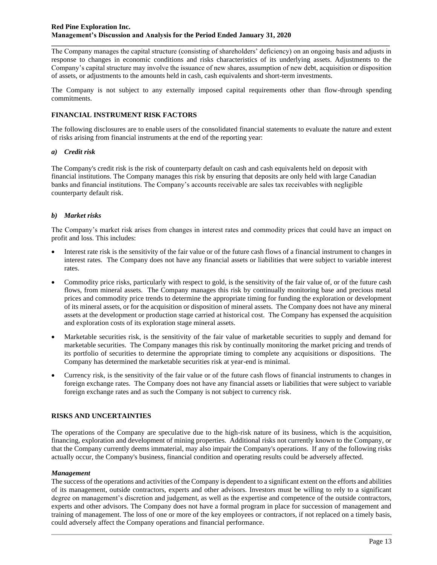**\_\_\_\_\_\_\_\_\_\_\_\_\_\_\_\_\_\_\_\_\_\_\_\_\_\_\_\_\_\_\_\_\_\_\_\_\_\_\_\_\_\_\_\_\_\_\_\_\_\_\_\_\_\_\_\_\_\_\_\_\_\_\_\_\_\_\_\_\_\_\_\_\_\_\_\_\_\_\_\_\_\_\_\_\_\_\_\_\_\_\_\_\_\_\_** The Company manages the capital structure (consisting of shareholders' deficiency) on an ongoing basis and adjusts in response to changes in economic conditions and risks characteristics of its underlying assets. Adjustments to the Company's capital structure may involve the issuance of new shares, assumption of new debt, acquisition or disposition of assets, or adjustments to the amounts held in cash, cash equivalents and short-term investments.

The Company is not subject to any externally imposed capital requirements other than flow-through spending commitments.

# **FINANCIAL INSTRUMENT RISK FACTORS**

The following disclosures are to enable users of the consolidated financial statements to evaluate the nature and extent of risks arising from financial instruments at the end of the reporting year:

# *a) Credit risk*

The Company's credit risk is the risk of counterparty default on cash and cash equivalents held on deposit with financial institutions. The Company manages this risk by ensuring that deposits are only held with large Canadian banks and financial institutions. The Company's accounts receivable are sales tax receivables with negligible counterparty default risk.

# *b) Market risks*

The Company's market risk arises from changes in interest rates and commodity prices that could have an impact on profit and loss. This includes:

- Interest rate risk is the sensitivity of the fair value or of the future cash flows of a financial instrument to changes in interest rates. The Company does not have any financial assets or liabilities that were subject to variable interest rates.
- Commodity price risks, particularly with respect to gold, is the sensitivity of the fair value of, or of the future cash flows, from mineral assets. The Company manages this risk by continually monitoring base and precious metal prices and commodity price trends to determine the appropriate timing for funding the exploration or development of its mineral assets, or for the acquisition or disposition of mineral assets. The Company does not have any mineral assets at the development or production stage carried at historical cost. The Company has expensed the acquisition and exploration costs of its exploration stage mineral assets.
- Marketable securities risk, is the sensitivity of the fair value of marketable securities to supply and demand for marketable securities. The Company manages this risk by continually monitoring the market pricing and trends of its portfolio of securities to determine the appropriate timing to complete any acquisitions or dispositions. The Company has determined the marketable securities risk at year-end is minimal.
- Currency risk, is the sensitivity of the fair value or of the future cash flows of financial instruments to changes in foreign exchange rates. The Company does not have any financial assets or liabilities that were subject to variable foreign exchange rates and as such the Company is not subject to currency risk.

# **RISKS AND UNCERTAINTIES**

The operations of the Company are speculative due to the high-risk nature of its business, which is the acquisition, financing, exploration and development of mining properties. Additional risks not currently known to the Company, or that the Company currently deems immaterial, may also impair the Company's operations. If any of the following risks actually occur, the Company's business, financial condition and operating results could be adversely affected.

#### *Management*

The success of the operations and activities of the Company is dependent to a significant extent on the efforts and abilities of its management, outside contractors, experts and other advisors. Investors must be willing to rely to a significant degree on management's discretion and judgement, as well as the expertise and competence of the outside contractors, experts and other advisors. The Company does not have a formal program in place for succession of management and training of management. The loss of one or more of the key employees or contractors, if not replaced on a timely basis, could adversely affect the Company operations and financial performance.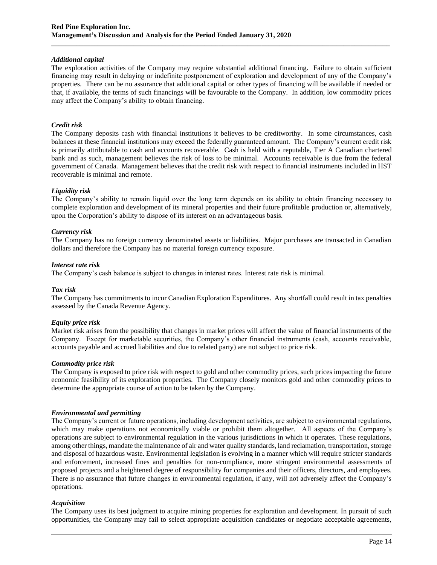## *Additional capital*

The exploration activities of the Company may require substantial additional financing. Failure to obtain sufficient financing may result in delaying or indefinite postponement of exploration and development of any of the Company's properties. There can be no assurance that additional capital or other types of financing will be available if needed or that, if available, the terms of such financings will be favourable to the Company. In addition, low commodity prices may affect the Company's ability to obtain financing.

**\_\_\_\_\_\_\_\_\_\_\_\_\_\_\_\_\_\_\_\_\_\_\_\_\_\_\_\_\_\_\_\_\_\_\_\_\_\_\_\_\_\_\_\_\_\_\_\_\_\_\_\_\_\_\_\_\_\_\_\_\_\_\_\_\_\_\_\_\_\_\_\_\_\_\_\_\_\_\_\_\_\_\_\_\_\_\_\_\_\_\_\_\_\_\_**

# *Credit risk*

The Company deposits cash with financial institutions it believes to be creditworthy. In some circumstances, cash balances at these financial institutions may exceed the federally guaranteed amount. The Company's current credit risk is primarily attributable to cash and accounts recoverable. Cash is held with a reputable, Tier A Canadian chartered bank and as such, management believes the risk of loss to be minimal. Accounts receivable is due from the federal government of Canada. Management believes that the credit risk with respect to financial instruments included in HST recoverable is minimal and remote.

### *Liquidity risk*

The Company's ability to remain liquid over the long term depends on its ability to obtain financing necessary to complete exploration and development of its mineral properties and their future profitable production or, alternatively, upon the Corporation's ability to dispose of its interest on an advantageous basis.

### *Currency risk*

The Company has no foreign currency denominated assets or liabilities. Major purchases are transacted in Canadian dollars and therefore the Company has no material foreign currency exposure.

#### *Interest rate risk*

The Company's cash balance is subject to changes in interest rates. Interest rate risk is minimal.

#### *Tax risk*

The Company has commitments to incur Canadian Exploration Expenditures. Any shortfall could result in tax penalties assessed by the Canada Revenue Agency.

#### *Equity price risk*

Market risk arises from the possibility that changes in market prices will affect the value of financial instruments of the Company. Except for marketable securities, the Company's other financial instruments (cash, accounts receivable, accounts payable and accrued liabilities and due to related party) are not subject to price risk.

#### *Commodity price risk*

The Company is exposed to price risk with respect to gold and other commodity prices, such prices impacting the future economic feasibility of its exploration properties. The Company closely monitors gold and other commodity prices to determine the appropriate course of action to be taken by the Company.

#### *Environmental and permitting*

The Company's current or future operations, including development activities, are subject to environmental regulations, which may make operations not economically viable or prohibit them altogether. All aspects of the Company's operations are subject to environmental regulation in the various jurisdictions in which it operates. These regulations, among other things, mandate the maintenance of air and water quality standards, land reclamation, transportation, storage and disposal of hazardous waste. Environmental legislation is evolving in a manner which will require stricter standards and enforcement, increased fines and penalties for non-compliance, more stringent environmental assessments of proposed projects and a heightened degree of responsibility for companies and their officers, directors, and employees. There is no assurance that future changes in environmental regulation, if any, will not adversely affect the Company's operations.

## *Acquisition*

The Company uses its best judgment to acquire mining properties for exploration and development. In pursuit of such opportunities, the Company may fail to select appropriate acquisition candidates or negotiate acceptable agreements,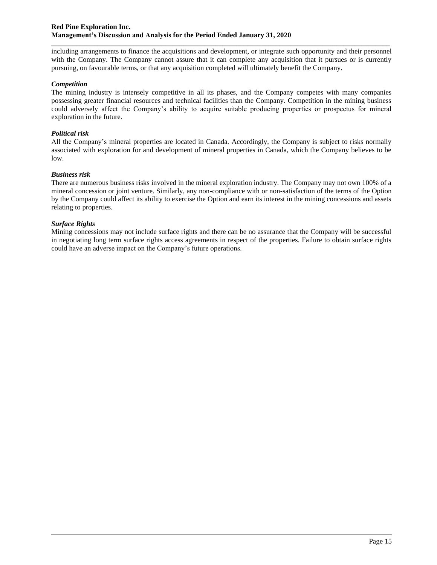including arrangements to finance the acquisitions and development, or integrate such opportunity and their personnel with the Company. The Company cannot assure that it can complete any acquisition that it pursues or is currently pursuing, on favourable terms, or that any acquisition completed will ultimately benefit the Company.

**\_\_\_\_\_\_\_\_\_\_\_\_\_\_\_\_\_\_\_\_\_\_\_\_\_\_\_\_\_\_\_\_\_\_\_\_\_\_\_\_\_\_\_\_\_\_\_\_\_\_\_\_\_\_\_\_\_\_\_\_\_\_\_\_\_\_\_\_\_\_\_\_\_\_\_\_\_\_\_\_\_\_\_\_\_\_\_\_\_\_\_\_\_\_\_**

# *Competition*

The mining industry is intensely competitive in all its phases, and the Company competes with many companies possessing greater financial resources and technical facilities than the Company. Competition in the mining business could adversely affect the Company's ability to acquire suitable producing properties or prospectus for mineral exploration in the future.

# *Political risk*

All the Company's mineral properties are located in Canada. Accordingly, the Company is subject to risks normally associated with exploration for and development of mineral properties in Canada, which the Company believes to be low.

# *Business risk*

There are numerous business risks involved in the mineral exploration industry. The Company may not own 100% of a mineral concession or joint venture. Similarly, any non-compliance with or non-satisfaction of the terms of the Option by the Company could affect its ability to exercise the Option and earn its interest in the mining concessions and assets relating to properties.

# *Surface Rights*

Mining concessions may not include surface rights and there can be no assurance that the Company will be successful in negotiating long term surface rights access agreements in respect of the properties. Failure to obtain surface rights could have an adverse impact on the Company's future operations.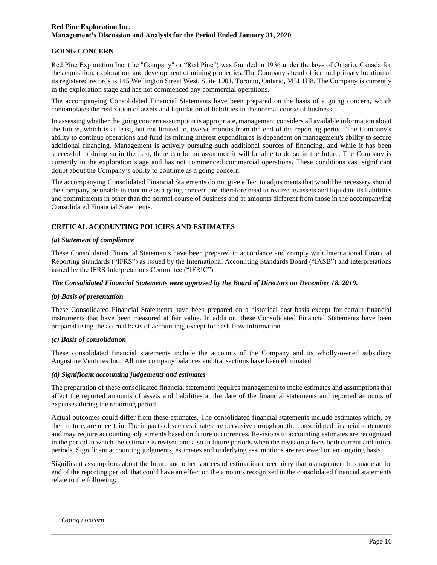# **GOING CONCERN**

Red Pine Exploration Inc. (the "Company" or "Red Pine") was founded in 1936 under the laws of Ontario, Canada for the acquisition, exploration, and development of mining properties. The Company's head office and primary location of its registered records is 145 Wellington Street West, Suite 1001, Toronto, Ontario, M5J 1H8. The Company is currently in the exploration stage and has not commenced any commercial operations.

**\_\_\_\_\_\_\_\_\_\_\_\_\_\_\_\_\_\_\_\_\_\_\_\_\_\_\_\_\_\_\_\_\_\_\_\_\_\_\_\_\_\_\_\_\_\_\_\_\_\_\_\_\_\_\_\_\_\_\_\_\_\_\_\_\_\_\_\_\_\_\_\_\_\_\_\_\_\_\_\_\_\_\_\_\_\_\_\_\_\_\_\_\_\_\_**

The accompanying Consolidated Financial Statements have been prepared on the basis of a going concern, which contemplates the realization of assets and liquidation of liabilities in the normal course of business.

In assessing whether the going concern assumption is appropriate, management considers all available information about the future, which is at least, but not limited to, twelve months from the end of the reporting period. The Company's ability to continue operations and fund its mining interest expenditures is dependent on management's ability to secure additional financing. Management is actively pursuing such additional sources of financing, and while it has been successful in doing so in the past, there can be no assurance it will be able to do so in the future. The Company is currently in the exploration stage and has not commenced commercial operations. These conditions cast significant doubt about the Company's ability to continue as a going concern.

The accompanying Consolidated Financial Statements do not give effect to adjustments that would be necessary should the Company be unable to continue as a going concern and therefore need to realize its assets and liquidate its liabilities and commitments in other than the normal course of business and at amounts different from those in the accompanying Consolidated Financial Statements.

# **CRITICAL ACCOUNTING POLICIES AND ESTIMATES**

#### *(a) Statement of compliance*

These Consolidated Financial Statements have been prepared in accordance and comply with International Financial Reporting Standards ("IFRS") as issued by the International Accounting Standards Board ("IASB") and interpretations issued by the IFRS Interpretations Committee ("IFRIC").

#### *The Consolidated Financial Statements were approved by the Board of Directors on December 18, 2019.*

#### *(b) Basis of presentation*

These Consolidated Financial Statements have been prepared on a historical cost basis except for certain financial instruments that have been measured at fair value. In addition, these Consolidated Financial Statements have been prepared using the accrual basis of accounting, except for cash flow information.

#### *(c) Basis of consolidation*

These consolidated financial statements include the accounts of the Company and its wholly-owned subsidiary Augustine Ventures Inc. All intercompany balances and transactions have been eliminated.

#### *(d) Significant accounting judgements and estimates*

The preparation of these consolidated financial statements requires management to make estimates and assumptions that affect the reported amounts of assets and liabilities at the date of the financial statements and reported amounts of expenses during the reporting period.

Actual outcomes could differ from these estimates. The consolidated financial statements include estimates which, by their nature, are uncertain. The impacts of such estimates are pervasive throughout the consolidated financial statements and may require accounting adjustments based on future occurrences. Revisions to accounting estimates are recognized in the period in which the estimate is revised and also in future periods when the revision affects both current and future periods. Significant accounting judgments, estimates and underlying assumptions are reviewed on an ongoing basis.

Significant assumptions about the future and other sources of estimation uncertainty that management has made at the end of the reporting period, that could have an effect on the amounts recognized in the consolidated financial statements relate to the following: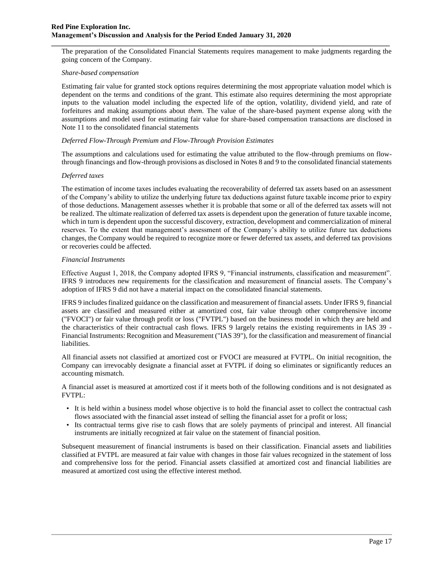The preparation of the Consolidated Financial Statements requires management to make judgments regarding the going concern of the Company.

**\_\_\_\_\_\_\_\_\_\_\_\_\_\_\_\_\_\_\_\_\_\_\_\_\_\_\_\_\_\_\_\_\_\_\_\_\_\_\_\_\_\_\_\_\_\_\_\_\_\_\_\_\_\_\_\_\_\_\_\_\_\_\_\_\_\_\_\_\_\_\_\_\_\_\_\_\_\_\_\_\_\_\_\_\_\_\_\_\_\_\_\_\_\_\_**

## *Share-based compensation*

Estimating fair value for granted stock options requires determining the most appropriate valuation model which is dependent on the terms and conditions of the grant. This estimate also requires determining the most appropriate inputs to the valuation model including the expected life of the option, volatility, dividend yield, and rate of forfeitures and making assumptions about *them.* The value of the share-based payment expense along with the assumptions and model used for estimating fair value for share-based compensation transactions are disclosed in Note 11 to the consolidated financial statements

### *Deferred Flow-Through Premium and Flow-Through Provision Estimates*

The assumptions and calculations used for estimating the value attributed to the flow-through premiums on flowthrough financings and flow-through provisions as disclosed in Notes 8 and 9 to the consolidated financial statements

### *Deferred taxes*

The estimation of income taxes includes evaluating the recoverability of deferred tax assets based on an assessment of the Company's ability to utilize the underlying future tax deductions against future taxable income prior to expiry of those deductions. Management assesses whether it is probable that some or all of the deferred tax assets will not be realized. The ultimate realization of deferred tax assets is dependent upon the generation of future taxable income, which in turn is dependent upon the successful discovery, extraction, development and commercialization of mineral reserves. To the extent that management's assessment of the Company's ability to utilize future tax deductions changes, the Company would be required to recognize more or fewer deferred tax assets, and deferred tax provisions or recoveries could be affected*.*

### *Financial Instruments*

Effective August 1, 2018, the Company adopted IFRS 9, "Financial instruments, classification and measurement". IFRS 9 introduces new requirements for the classification and measurement of financial assets. The Company's adoption of IFRS 9 did not have a material impact on the consolidated financial statements.

IFRS 9 includes finalized guidance on the classification and measurement of financial assets. Under IFRS 9, financial assets are classified and measured either at amortized cost, fair value through other comprehensive income ("FVOCI") or fair value through profit or loss ("FVTPL") based on the business model in which they are held and the characteristics of their contractual cash flows. IFRS 9 largely retains the existing requirements in IAS 39 - Financial Instruments: Recognition and Measurement ("IAS 39"), for the classification and measurement of financial liabilities.

All financial assets not classified at amortized cost or FVOCI are measured at FVTPL. On initial recognition, the Company can irrevocably designate a financial asset at FVTPL if doing so eliminates or significantly reduces an accounting mismatch.

A financial asset is measured at amortized cost if it meets both of the following conditions and is not designated as FVTPL:

- It is held within a business model whose objective is to hold the financial asset to collect the contractual cash flows associated with the financial asset instead of selling the financial asset for a profit or loss;
- Its contractual terms give rise to cash flows that are solely payments of principal and interest. All financial instruments are initially recognized at fair value on the statement of financial position.

Subsequent measurement of financial instruments is based on their classification. Financial assets and liabilities classified at FVTPL are measured at fair value with changes in those fair values recognized in the statement of loss and comprehensive loss for the period. Financial assets classified at amortized cost and financial liabilities are measured at amortized cost using the effective interest method.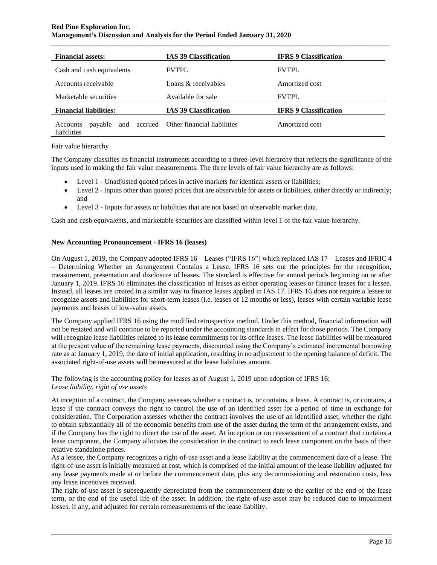# **Red Pine Exploration Inc. Management's Discussion and Analysis for the Period Ended January 31, 2020**

| <b>Financial assets:</b>           | <b>IAS 39 Classification</b>            | <b>IFRS 9 Classification</b> |
|------------------------------------|-----------------------------------------|------------------------------|
| Cash and cash equivalents          | <b>FVTPL</b>                            | <b>FVTPL</b>                 |
| Accounts receivable                | Loans & receivables                     | Amortized cost               |
| Marketable securities              | Available for sale                      | <b>FVTPL</b>                 |
| <b>Financial liabilities:</b>      | <b>IAS 39 Classification</b>            | <b>IFRS 9 Classification</b> |
| payable<br>Accounts<br>liabilities | and accrued Other financial liabilities | Amortized cost               |

### Fair value hierarchy

The Company classifies its financial instruments according to a three-level hierarchy that reflects the significance of the inputs used in making the fair value measurements. The three levels of fair value hierarchy are as follows:

- Level 1 Unadjusted quoted prices in active markets for identical assets or liabilities;
- Level 2 Inputs other than quoted prices that are observable for assets or liabilities, either directly or indirectly; and
- Level 3 Inputs for assets or liabilities that are not based on observable market data.

Cash and cash equivalents, and marketable securities are classified within level 1 of the fair value hierarchy.

### **New Accounting Pronouncement - IFRS 16 (leases)**

On August 1, 2019, the Company adopted IFRS 16 – Leases ("IFRS 16") which replaced IAS 17 – Leases and IFRIC 4 – Determining Whether an Arrangement Contains a Lease. IFRS 16 sets out the principles for the recognition, measurement, presentation and disclosure of leases. The standard is effective for annual periods beginning on or after January 1, 2019. IFRS 16 eliminates the classification of leases as either operating leases or finance leases for a lessee. Instead, all leases are treated in a similar way to finance leases applied in IAS 17. IFRS 16 does not require a lessee to recognize assets and liabilities for short-term leases (i.e. leases of 12 months or less), leases with certain variable lease payments and leases of low-value assets.

The Company applied IFRS 16 using the modified retrospective method. Under this method, financial information will not be restated and will continue to be reported under the accounting standards in effect for those periods. The Company will recognize lease liabilities related to its lease commitments for its office leases. The lease liabilities will be measured at the present value of the remaining lease payments, discounted using the Company's estimated incremental borrowing rate as at January 1, 2019, the date of initial application, resulting in no adjustment to the opening balance of deficit. The associated right-of-use assets will be measured at the lease liabilities amount.

The following is the accounting policy for leases as of August 1, 2019 upon adoption of IFRS 16: *Lease liability, right of use assets* 

At inception of a contract, the Company assesses whether a contract is, or contains, a lease. A contract is, or contains, a lease if the contract conveys the right to control the use of an identified asset for a period of time in exchange for consideration. The Corporation assesses whether the contract involves the use of an identified asset, whether the right to obtain substantially all of the economic benefits from use of the asset during the term of the arrangement exists, and if the Company has the right to direct the use of the asset. At inception or on reassessment of a contract that contains a lease component, the Company allocates the consideration in the contract to each lease component on the basis of their relative standalone prices.

As a lessee, the Company recognizes a right-of-use asset and a lease liability at the commencement date of a lease. The right-of-use asset is initially measured at cost, which is comprised of the initial amount of the lease liability adjusted for any lease payments made at or before the commencement date, plus any decommissioning and restoration costs, less any lease incentives received.

The right-of-use asset is subsequently depreciated from the commencement date to the earlier of the end of the lease term, or the end of the useful life of the asset. In addition, the right-of-use asset may be reduced due to impairment losses, if any, and adjusted for certain remeasurements of the lease liability.